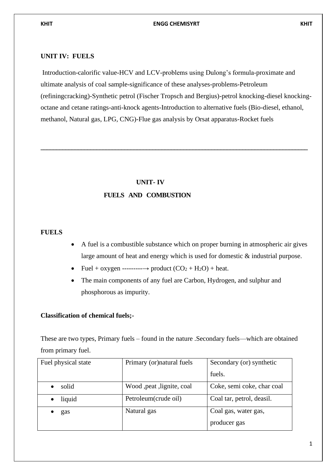#### **UNIT IV: FUELS**

Introduction-calorific value-HCV and LCV-problems using Dulong's formula-proximate and ultimate analysis of coal sample-significance of these analyses-problems-Petroleum (refiningcracking)-Synthetic petrol (Fischer Tropsch and Bergius)-petrol knocking-diesel knockingoctane and cetane ratings-anti-knock agents-Introduction to alternative fuels (Bio-diesel, ethanol, methanol, Natural gas, LPG, CNG)-Flue gas analysis by Orsat apparatus-Rocket fuels

**\_\_\_\_\_\_\_\_\_\_\_\_\_\_\_\_\_\_\_\_\_\_\_\_\_\_\_\_\_\_\_\_\_\_\_\_\_\_\_\_\_\_\_\_\_\_\_\_\_\_\_\_\_\_\_\_\_\_\_\_\_\_\_\_\_\_\_\_\_\_\_\_\_\_\_\_\_\_\_\_\_\_\_\_\_\_**

#### **UNIT- IV**

#### **FUELS AND COMBUSTION**

#### **FUELS**

- A fuel is a combustible substance which on proper burning in atmospheric air gives large amount of heat and energy which is used for domestic & industrial purpose.
- Fuel + oxygen ---------→ product (CO<sup>2</sup> + H2O) + heat.
- The main components of any fuel are Carbon, Hydrogen, and sulphur and phosphorous as impurity.

#### **Classification of chemical fuels;-**

These are two types, Primary fuels – found in the nature .Secondary fuels—which are obtained from primary fuel.

| Fuel physical state | Primary (or) natural fuels  | Secondary (or) synthetic   |  |
|---------------------|-----------------------------|----------------------------|--|
|                     |                             | fuels.                     |  |
| solid               | Wood , peat , lignite, coal | Coke, semi coke, char coal |  |
| liquid              | Petroleum(crude oil)        | Coal tar, petrol, deasil.  |  |
| gas                 | Natural gas                 | Coal gas, water gas,       |  |
|                     |                             | producer gas               |  |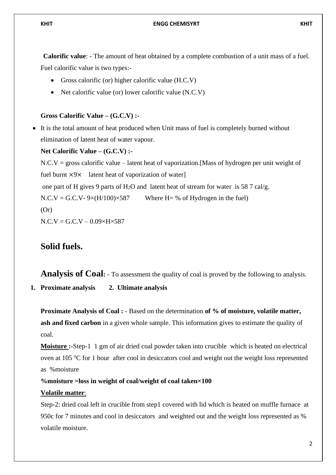**Calorific value**: - The amount of heat obtained by a complete combustion of a unit mass of a fuel. Fuel calorific value is two types:-

- Gross calorific (or) higher calorific value (H.C.V)
- Net calorific value (or) lower calorific value (N.C.V)

#### **Gross Calorific Value – (G.C.V) :-**

• It is the total amount of heat produced when Unit mass of fuel is completely burned without elimination of latent heat of water vapour.

#### **Net Calorific Value – (G.C.V) :-**

 $N.C.V = gross calorific value - latent heat of vaporization.$  [Mass of hydrogen per unit weight of fuel burnt ×9× latent heat of vaporization of water] one part of H gives 9 parts of H<sub>2</sub>O and latent heat of stream for water is 58 7 cal/g.  $N.C.V = G.C.V-9×(H/100)×587$  Where H= % of Hydrogen in the fuel)  $(Or)$  $N.C.V = G.C.V - 0.09 \times H \times 587$ 

## **Solid fuels.**

**Analysis of Coal:** - To assessment the quality of coal is proved by the following to analysis.

**1. Proximate analysis 2. Ultimate analysis**

**Proximate Analysis of Coal :** - Based on the determination **of % of moisture, volatile matter, ash and fixed carbon** in a given whole sample. This information gives to estimate the quality of coal.

**Moisture :-**Step-1 1 gm of air dried coal powder taken into crucible which is heated on electrical oven at 105  $\degree$ C for 1 hour after cool in desiccators cool and weight out the weight loss represented as %moisture

#### **%moisture =loss in weight of coal/weight of coal taken×100**

#### **Volatile matter**:

Step-2: dried coal left in crucible from step1 covered with lid which is heated on muffle furnace at 950c for 7 minutes and cool in desiccators and weighted out and the weight loss represented as % volatile moisture.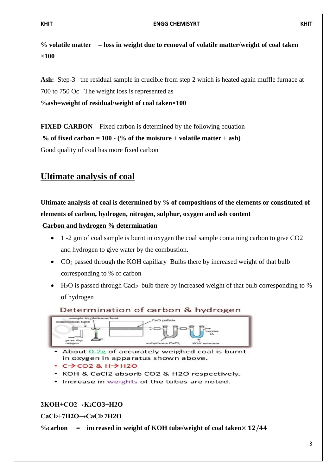**% volatile matter = loss in weight due to removal of volatile matter/weight of coal taken ×100**

Ash: Step-3 the residual sample in crucible from step 2 which is heated again muffle furnace at 700 to 750 Oc The weight loss is represented as

**%ash=weight of residual/weight of coal taken×100**

**FIXED CARBON** – Fixed carbon is determined by the following equation

% of fixed carbon =  $100 - (%$  of the moisture + volatile matter + ash)

Good quality of coal has more fixed carbon

# **Ultimate analysis of coal**

**Ultimate analysis of coal is determined by % of compositions of the elements or constituted of elements of carbon, hydrogen, nitrogen, sulphur, oxygen and ash content**

**Carbon and hydrogen % determination**

- 1 -2 gm of coal sample is burnt in oxygen the coal sample containing carbon to give CO2 and hydrogen to give water by the combustion.
- CO<sub>2</sub> passed through the KOH capillary Bulbs there by increased weight of that bulb corresponding to % of carbon
- $H_2O$  is passed through Cacl<sub>2</sub> bulb there by increased weight of that bulb corresponding to % of hydrogen

#### Determination of carbon & hydrogen



- About 0.2g of accurately weighed coal is burnt in oxygen in apparatus shown above.
- $C \rightarrow CO2$  &  $H \rightarrow H2O$
- KOH & CaCl2 absorb CO2 & H2O respectively.
- Increase in weights of the tubes are noted.

### **2KOH+CO2→K2CO3+H2O**

**CaCl2+7H2O→CaCl2.7H2O**

 $\%$ carbon = increased in weight of KOH tube/weight of coal taken $\times$  12/44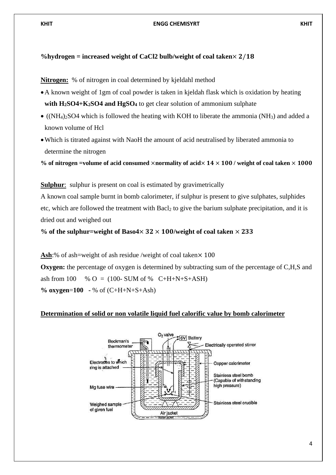#### %hydrogen = increased weight of CaCl2 bulb/weight of coal taken $\times$  2/18

**Nitrogen:** % of nitrogen in coal determined by kjeldahl method

- •A known weight of 1gm of coal powder is taken in kjeldah flask which is oxidation by heating **with H2SO4+K2SO4 and HgSO<sup>4</sup>** to get clear solution of ammonium sulphate
- ( $(NH_4)$ ): SO4 which is followed the heating with KOH to liberate the ammonia ( $NH_3$ ) and added a known volume of Hcl
- Which is titrated against with NaoH the amount of acid neutralised by liberated ammonia to determine the nitrogen

% of nitrogen =volume of acid consumed  $\times$ normality of acid $\times$  14  $\times$  100 / weight of coal taken  $\times$  1000

**Sulphur**: sulphur is present on coal is estimated by gravimetrically

A known coal sample burnt in bomb calorimeter, if sulphur is present to give sulphates, sulphides etc, which are followed the treatment with Bacl<sub>2</sub> to give the barium sulphate precipitation, and it is dried out and weighed out

% of the sulphur=weight of Baso4 $\times$  32  $\times$  100/weight of coal taken  $\times$  233

**Ash:**% of ash=weight of ash residue /weight of coal taken $\times$  100 **Oxygen:** the percentage of oxygen is determined by subtracting sum of the percentage of C,H,S and ash from 100 % O = (100- SUM of % C+H+N+S+ASH) **% oxygen**=**100 -** % of (C+H+N+S+Ash)

#### **Determination of solid or non volatile liquid fuel calorific value by bomb calorimeter**

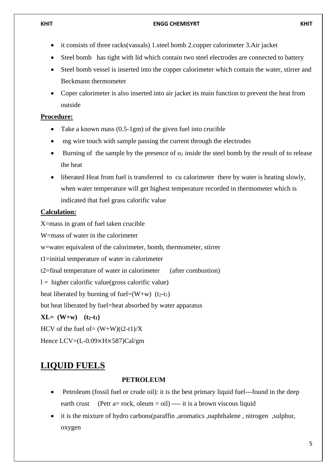- it consists of three racks(vassals) 1.steel bomb 2.copper calorimeter 3.Air jacket
- Steel bomb has tight with lid which contain two steel electrodes are connected to battery
- Steel bomb vessel is inserted into the copper calorimeter which contain the water, stirrer and Beckmann thermometer
- Coper calorimeter is also inserted into air jacket its main function to prevent the heat from outside

#### **Procedure:**

- Take a known mass (0.5-1gm) of the given fuel into crucible
- mg wire touch with sample passing the current through the electrodes
- Burning of the sample by the presence of  $o_2$  inside the steel bomb by the result of to release the heat
- liberated Heat from fuel is transferred to cu calorimeter there by water is heating slowly, when water temperature will get highest temperature recorded in thermometer which is indicated that fuel grass calorific value

### **Calculation:**

X=mass in gram of fuel taken crucible

W=mass of water in the calorimeter

w=water equivalent of the calorimeter, bomb, thermometer, stirrer

t1=initial temperature of water in calorimeter

t2=final temperature of water in calorimeter (after combustion)

 $l =$  higher calorific value(gross calorific value)

heat liberated by burning of fuel= $(W+w)$  (t<sub>2</sub>-t<sub>1</sub>)

but heat liberated by fuel=heat absorbed by water apparatus

 $XL = (W+w)$   $(t_2-t_1)$ 

HCV of the fuel of=  $(W+W)(t2-t1)/X$ 

Hence LCV=(L-0.09×H×587)Cal/gm

# **LIQUID FUELS**

#### **PETROLEUM**

- Petroleum (fossil fuel or crude oil): it is the best primary liquid fuel---found in the deep earth crust (Petr a= rock, oleum = oil) ---- it is a brown viscous liquid
- it is the mixture of hydro carbons(paraffin ,aromatics ,naphthalene , nitrogen ,sulphur, oxygen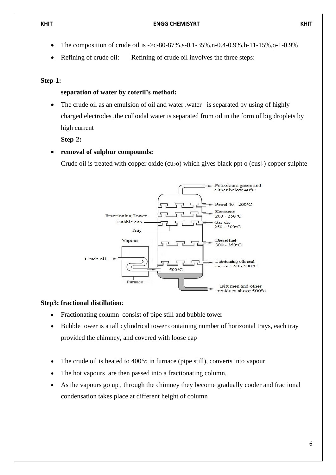Refining of crude oil: Refining of crude oil involves the three steps:

#### **Step-1:**

#### **separation of water by coteril's method:**

• The crude oil as an emulsion of oil and water .water is separated by using of highly charged electrodes ,the colloidal water is separated from oil in the form of big droplets by high current

**Step-2:**

#### • **removal of sulphur compounds:**

Crude oil is treated with copper oxide (cu<sub>2</sub>o) which gives black ppt o (cus<sup> $\downarrow$ </sup>) copper sulphte



#### **Step3: fractional distillation**:

- Fractionating column consist of pipe still and bubble tower
- Bubble tower is a tall cylindrical tower containing number of horizontal trays, each tray provided the chimney, and covered with loose cap
- The crude oil is heated to  $400^\circ c$  in furnace (pipe still), converts into vapour
- The hot vapours are then passed into a fractionating column,
- As the vapours go up, through the chimney they become gradually cooler and fractional condensation takes place at different height of column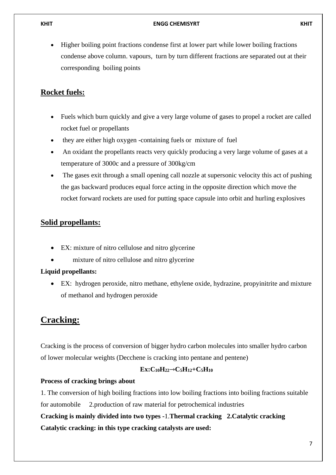• Higher boiling point fractions condense first at lower part while lower boiling fractions condense above column. vapours, turn by turn different fractions are separated out at their corresponding boiling points

## **Rocket fuels:**

- Fuels which burn quickly and give a very large volume of gases to propel a rocket are called rocket fuel or propellants
- they are either high oxygen -containing fuels or mixture of fuel
- An oxidant the propellants reacts very quickly producing a very large volume of gases at a temperature of 3000c and a pressure of 300kg/cm
- The gases exit through a small opening call nozzle at supersonic velocity this act of pushing the gas backward produces equal force acting in the opposite direction which move the rocket forward rockets are used for putting space capsule into orbit and hurling explosives

## **Solid propellants:**

- EX: mixture of nitro cellulose and nitro glycerine
- mixture of nitro cellulose and nitro glycerine

### **Liquid propellants:**

EX: hydrogen peroxide, nitro methane, ethylene oxide, hydrazine, propyinitrite and mixture of methanol and hydrogen peroxide

# **Cracking:**

Cracking is the process of conversion of bigger hydro carbon molecules into smaller hydro carbon of lower molecular weights (Decchene is cracking into pentane and pentene)

### **Ex:C10H22**→**C5H12+C5H<sup>10</sup>**

### **Process of cracking brings about**

1. The conversion of high boiling fractions into low boiling fractions into boiling fractions suitable

for automobile 2.production of raw material for petrochemical industries

**Cracking is mainly divided into two types -**1.**Thermal cracking 2.Catalytic cracking**

**Catalytic cracking: in this type cracking catalysts are used:**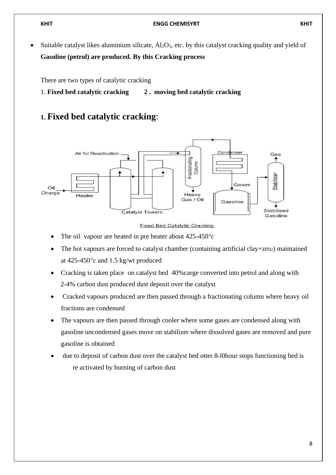Suitable catalyst likes aluminium silicate,  $A\bar{I}_2O_3$ , etc. by this catalyst cracking quality and yield of **Gasoline (petrol) are produced. By this Cracking process**

There are two types of catalytic cracking

1. **Fixed bed catalytic cracking 2 . moving bed catalytic cracking**

## **1. Fixed bed catalytic cracking**:



**Fixed Bed Catalytic Cracking** 

- The oil vapour are heated in pre heater about  $425-450^{\circ}c$
- The hot vapours are forced to catalyst chamber (containing artificial clay+ $zro<sub>2</sub>$ ) maintained at 425-450*°* and 1.5 kg/wt produced
- Cracking is taken place on catalyst bed 40%carge converted into petrol and along with 2-4% carbon dust produced dust deposit over the catalyst
- Cracked vapours produced are then passed through a fractionating column where heavy oil fractions are condensed
- The vapours are then passed through cooler where some gases are condensed along with gasoline uncondensed gases move on stabilizer where dissolved gases are removed and pure gasoline is obtained
- due to deposit of carbon dust over the catalyst bed otter 8-l0hour stops functioning bed is re activated by burning of carbon dust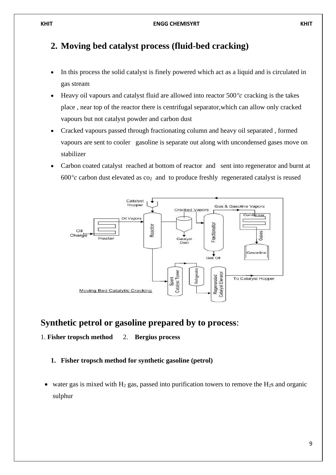# **2. Moving bed catalyst process (fluid-bed cracking)**

- In this process the solid catalyst is finely powered which act as a liquid and is circulated in gas stream
- Heavy oil vapours and catalyst fluid are allowed into reactor 500*°* cracking is the takes place , near top of the reactor there is centrifugal separator,which can allow only cracked vapours but not catalyst powder and carbon dust
- Cracked vapours passed through fractionating column and heavy oil separated , formed vapours are sent to cooler gasoline is separate out along with uncondensed gases move on stabilizer
- Carbon coated catalyst reached at bottom of reactor and sent into regenerator and burnt at  $600^{\circ}c$  carbon dust elevated as  $\cos_2$  and to produce freshly regenerated catalyst is reused



## **Synthetic petrol or gasoline prepared by to process**:

#### 1. **Fisher tropsch method** 2. **Bergius process**

#### **1. Fisher tropsch method for synthetic gasoline (petrol)**

water gas is mixed with  $H_2$  gas, passed into purification towers to remove the  $H_2$ s and organic sulphur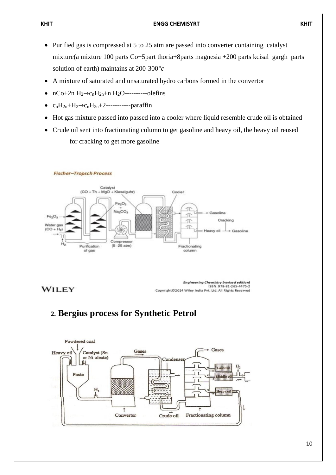- Purified gas is compressed at 5 to 25 atm are passed into converter containing catalyst mixture(a mixture 100 parts Co+5part thoria+8parts magnesia +200 parts kcisal gargh parts solution of earth) maintains at 200-300*°*
- A mixture of saturated and unsaturated hydro carbons formed in the convertor
- nCo+2n H2→cnH2n+n H2O----------olefins
- $c_nH_{2n}+H_2\rightarrow c_nH_{2n}+2$ -------------paraffin
- Hot gas mixture passed into passed into a cooler where liquid resemble crude oil is obtained
- Crude oil sent into fractionating column to get gasoline and heavy oil, the heavy oil reused for cracking to get more gasoline



#### **Fischer-Tropsch Process**

**WILEY** 

Engineering Chemistry (revised edition)<br>ISBN: 978-81-265-4475-2 Copyright©2014 Wiley India Pvt. Ltd. All Rights Reserved

# **2. Bergius process for Synthetic Petrol**

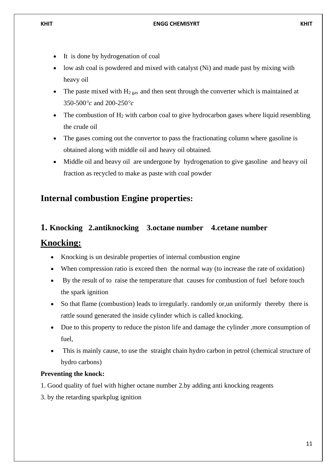- It is done by hydrogenation of coal
- low ash coal is powdered and mixed with catalyst (Ni) and made past by mixing with heavy oil
- The paste mixed with  $H_{2\text{ gas}}$  and then sent through the converter which is maintained at 350-500*°* and 200-250*°*
- The combustion of  $H_2$  with carbon coal to give hydrocarbon gases where liquid resembling the crude oil
- The gases coming out the convertor to pass the fractionating column where gasoline is obtained along with middle oil and heavy oil obtained.
- Middle oil and heavy oil are undergone by hydrogenation to give gasoline and heavy oil fraction as recycled to make as paste with coal powder

# **Internal combustion Engine properties:**

# **1. Knocking 2.antiknocking 3.octane number 4.cetane number**

## **Knocking:**

- Knocking is un desirable properties of internal combustion engine
- When compression ratio is exceed then the normal way (to increase the rate of oxidation)
- By the result of to raise the temperature that causes for combustion of fuel before touch the spark ignition
- So that flame (combustion) leads to irregularly. randomly or, un uniformly thereby there is rattle sound generated the inside cylinder which is called knocking.
- Due to this property to reduce the piston life and damage the cylinder , more consumption of fuel,
- This is mainly cause, to use the straight chain hydro carbon in petrol (chemical structure of hydro carbons)

### **Preventing the knock:**

- 1. Good quality of fuel with higher octane number 2.by adding anti knocking reagents
- 3. by the retarding sparkplug ignition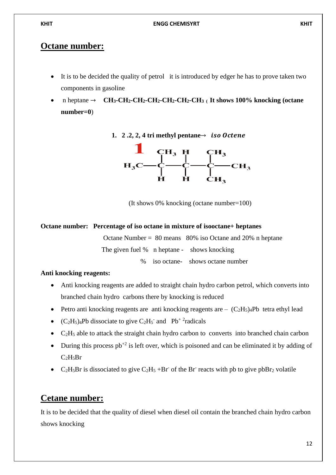## **Octane number:**

- It is to be decided the quality of petrol it is introduced by edger he has to prove taken two components in gasoline
- n heptane → **CH3-CH2-CH2-CH2-CH2-CH2-CH3 ( It shows 100% knocking (octane number=0**)





(It shows 0% knocking (octane number=100)

## **Octane number: Percentage of iso octane in mixture of isooctane+ heptanes**

Octane Number =  $80$  means  $80\%$  iso Octane and 20% n heptane The given fuel % n heptane - shows knocking % iso octane- shows octane number

## **Anti knocking reagents:**

- Anti knocking reagents are added to straight chain hydro carbon petrol, which converts into branched chain hydro carbons there by knocking is reduced
- Petro anti knocking reagents are anti knocking reagents are  $-(C_2H_5)_4Pb$  tetra ethyl lead
- $(C_2H_5)_4Pb$  dissociate to give  $C_2H_5$  and  $Pb^2$  radicals
- $C_2H_5$  able to attack the straight chain hydro carbon to converts into branched chain carbon
- During this process  $pb^{+2}$  is left over, which is poisoned and can be eliminated it by adding of  $C_2H_5Br$
- C<sub>2</sub>H<sub>5</sub>Br is dissociated to give C<sub>2</sub>H<sub>5</sub> +Br<sup>-</sup> of the Br<sup>-</sup> reacts with pb to give pbBr<sub>2</sub> volatile

# **Cetane number:**

It is to be decided that the quality of diesel when diesel oil contain the branched chain hydro carbon shows knocking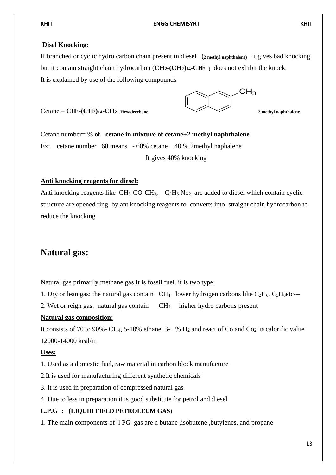#### **Disel Knocking:**

If branched or cyclic hydro carbon chain present in diesel (**2 methyl naphthalene)** it gives bad knocking but it contain straight chain hydrocarbon (**CH2-(CH2)14-CH2 )** does not exhibit the knock.

It is explained by use of the following compounds

Cetane – **CH<sub>2</sub>-(CH<sub>2</sub>)14-CH<sub>2</sub>** Hexadecchane 2 methyl naphthalene



Cetane number= % **of cetane in mixture of cetane+2 methyl naphthalene** Ex: cetane number 60 means - 60% cetane 40 % 2 methyl naphalene It gives 40% knocking

#### **Anti knocking reagents for diesel:**

Anti knocking reagents like  $CH_3$ -CO-CH<sub>3</sub>,  $C_2H_5N_0$  are added to diesel which contain cyclic structure are opened ring by ant knocking reagents to converts into straight chain hydrocarbon to reduce the knocking

# **Natural gas:**

Natural gas primarily methane gas It is fossil fuel. it is two type:

1. Dry or lean gas: the natural gas contain  $CH_4$  lower hydrogen carbons like  $C_2H_6$ ,  $C_3H_8$ etc---

2. Wet or reign gas: natural gas contain CH4 higher hydro carbons present

### **Natural gas composition:**

It consists of 70 to 90%- CH<sub>4</sub>, 5-10% ethane, 3-1 % H<sub>2</sub> and react of Co and C<sub>O2</sub> its calorific value 12000-14000 kcal/m

### **Uses:**

1. Used as a domestic fuel, raw material in carbon block manufacture

- 2.It is used for manufacturing different synthetic chemicals
- 3. It is used in preparation of compressed natural gas
- 4. Due to less in preparation it is good substitute for petrol and diesel

### **L.P.G : (LIQUID FIELD PETROLEUM GAS)**

1. The main components of l PG gas are n butane ,isobutene ,butylenes, and propane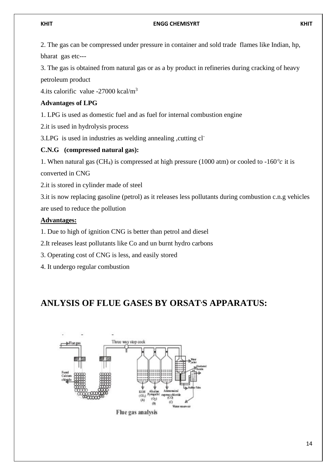2. The gas can be compressed under pressure in container and sold trade flames like Indian, hp, bharat gas etc---

3. The gas is obtained from natural gas or as a by product in refineries during cracking of heavy petroleum product

4.its calorific value  $-27000$  kcal/m<sup>3</sup>

## **Advantages of LPG**

1. LPG is used as domestic fuel and as fuel for internal combustion engine

2.it is used in hydrolysis process

3.LPG is used in industries as welding annealing ,cutting cl-

## **C.N.G (compressed natural gas):**

1. When natural gas (CH<sub>4</sub>) is compressed at high pressure (1000 atm) or cooled to -160 $\degree$ c it is converted in CNG

2.it is stored in cylinder made of steel

3.it is now replacing gasoline (petrol) as it releases less pollutants during combustion c.n.g vehicles are used to reduce the pollution

## **Advantages:**

1. Due to high of ignition CNG is better than petrol and diesel

2.It releases least pollutants like Co and un burnt hydro carbons

- 3. Operating cost of CNG is less, and easily stored
- 4. It undergo regular combustion

# **ANLYSIS OF FLUE GASES BY ORSAT,S APPARATUS:**



Flue gas analysis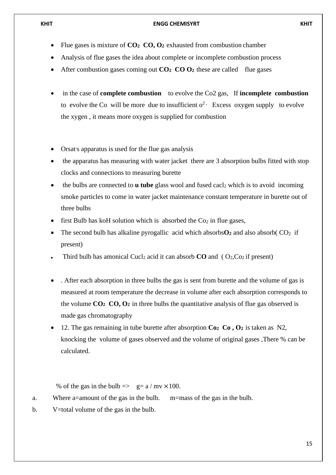- Flue gases is mixture of **CO2 CO, O<sup>2</sup>** exhausted from combustion chamber
- Analysis of flue gases the idea about complete or incomplete combustion process
- After combustion gases coming out **CO2 CO O<sup>2</sup>** these are called flue gases
- in the case of **complete combustion** to evolve the Co2 gas, If **incomplete combustion** to evolve the Co will be more due to insufficient  $o^2$ . Excess oxygen supply to evolve the xygen , it means more oxygen is supplied for combustion
- Orsat's apparatus is used for the flue gas analysis
- the apparatus has measuring with water jacket there are 3 absorption bulbs fitted with stop clocks and connections to measuring burette
- the bulbs are connected to **u** tube glass wool and fused cacl<sub>2</sub> which is to avoid incoming smoke particles to come in water jacket maintenance constant temperature in burette out of three bulbs
- first Bulb has koH solution which is absorbed the  $Co<sub>2</sub>$  in flue gases,
- The second bulb has alkaline pyrogallic acid which absorbs  $\mathbf{O}_2$  and also absorb(  $\mathbf{CO}_2$  if present)
- Third bulb has amonical Cucl<sub>2</sub> acid it can absorb  $CO$  and ( $O_2$ , $Co_2$  if present)
- . After each absorption in three bulbs the gas is sent from burette and the volume of gas is measured at room temperature the decrease in volume after each absorption corresponds to the volume **CO2 CO, O<sup>2</sup>** in three bulbs the quantitative analysis of flue gas observed is made gas chromatography
- 12. The gas remaining in tube burette after absorption **Co2 Co , O<sup>2</sup>** is taken as N2, knocking the volume of gases observed and the volume of original gases ,There % can be calculated.

% of the gas in the bulb  $\Rightarrow$  g= a / mv  $\times$ 100.

- a. Where a=amount of the gas in the bulb. m=mass of the gas in the bulb.
- b. V=total volume of the gas in the bulb.